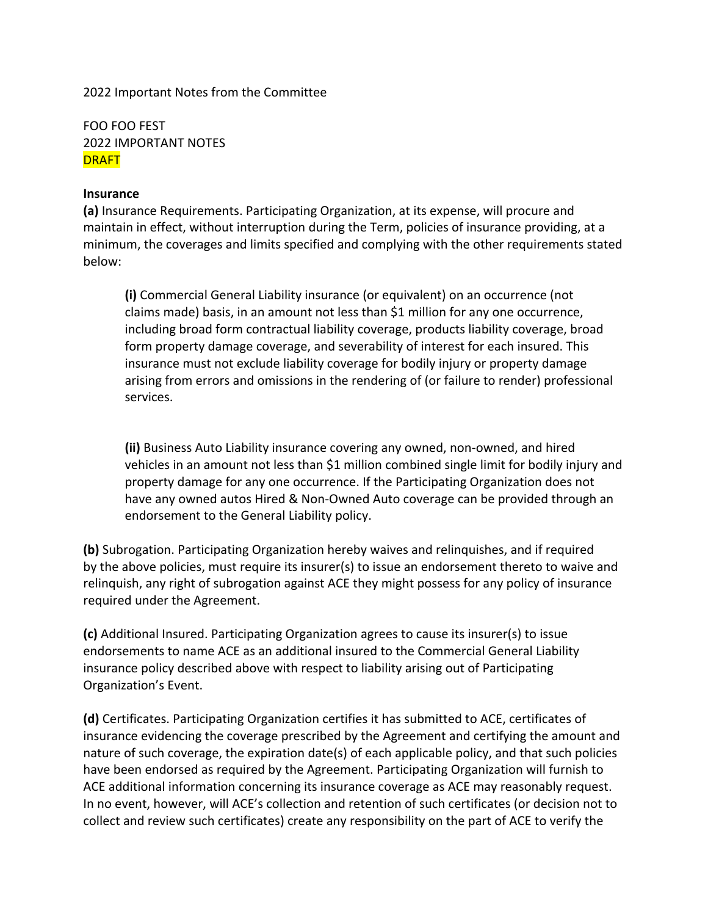2022 Important Notes from the Committee

FOO FOO FEST 2022 IMPORTANT NOTES DRAFT

#### **Insurance**

**(a)** Insurance Requirements. Participating Organization, at its expense, will procure and maintain in effect, without interruption during the Term, policies of insurance providing, at a minimum, the coverages and limits specified and complying with the other requirements stated below:

**(i)** Commercial General Liability insurance (or equivalent) on an occurrence (not claims made) basis, in an amount not less than \$1 million for any one occurrence, including broad form contractual liability coverage, products liability coverage, broad form property damage coverage, and severability of interest for each insured. This insurance must not exclude liability coverage for bodily injury or property damage arising from errors and omissions in the rendering of (or failure to render) professional services.

**(ii)** Business Auto Liability insurance covering any owned, non-owned, and hired vehicles in an amount not less than \$1 million combined single limit for bodily injury and property damage for any one occurrence. If the Participating Organization does not have any owned autos Hired & Non-Owned Auto coverage can be provided through an endorsement to the General Liability policy.

**(b)** Subrogation. Participating Organization hereby waives and relinquishes, and if required by the above policies, must require its insurer(s) to issue an endorsement thereto to waive and relinquish, any right of subrogation against ACE they might possess for any policy of insurance required under the Agreement.

**(c)** Additional Insured. Participating Organization agrees to cause its insurer(s) to issue endorsements to name ACE as an additional insured to the Commercial General Liability insurance policy described above with respect to liability arising out of Participating Organization's Event.

**(d)** Certificates. Participating Organization certifies it has submitted to ACE, certificates of insurance evidencing the coverage prescribed by the Agreement and certifying the amount and nature of such coverage, the expiration date(s) of each applicable policy, and that such policies have been endorsed as required by the Agreement. Participating Organization will furnish to ACE additional information concerning its insurance coverage as ACE may reasonably request. In no event, however, will ACE's collection and retention of such certificates (or decision not to collect and review such certificates) create any responsibility on the part of ACE to verify the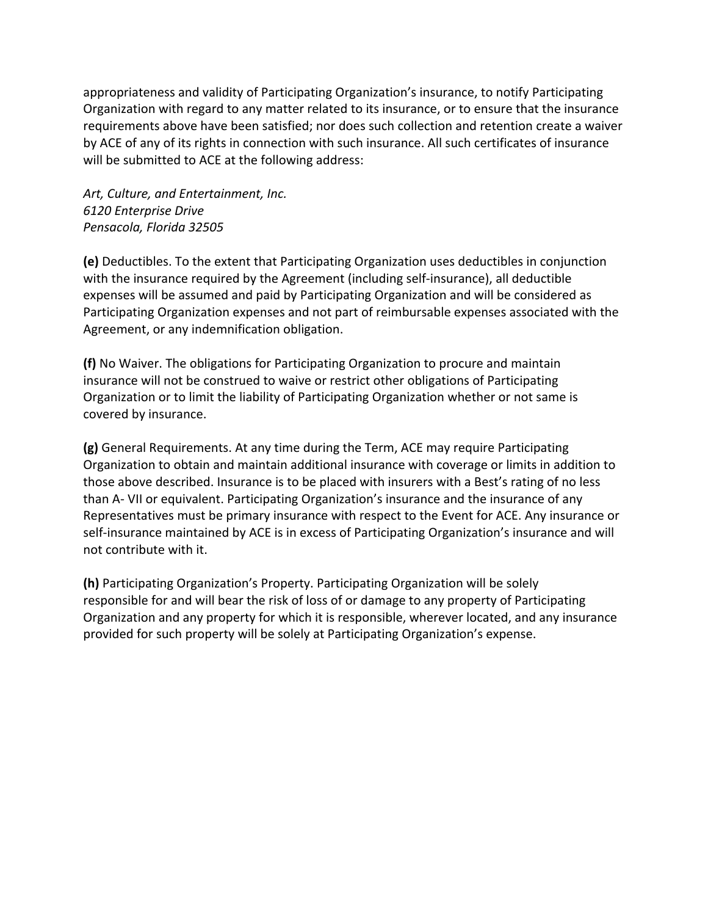appropriateness and validity of Participating Organization's insurance, to notify Participating Organization with regard to any matter related to its insurance, or to ensure that the insurance requirements above have been satisfied; nor does such collection and retention create a waiver by ACE of any of its rights in connection with such insurance. All such certificates of insurance will be submitted to ACE at the following address:

*Art, Culture, and Entertainment, Inc. 6120 Enterprise Drive Pensacola, Florida 32505*

**(e)** Deductibles. To the extent that Participating Organization uses deductibles in conjunction with the insurance required by the Agreement (including self-insurance), all deductible expenses will be assumed and paid by Participating Organization and will be considered as Participating Organization expenses and not part of reimbursable expenses associated with the Agreement, or any indemnification obligation.

**(f)** No Waiver. The obligations for Participating Organization to procure and maintain insurance will not be construed to waive or restrict other obligations of Participating Organization or to limit the liability of Participating Organization whether or not same is covered by insurance.

**(g)** General Requirements. At any time during the Term, ACE may require Participating Organization to obtain and maintain additional insurance with coverage or limits in addition to those above described. Insurance is to be placed with insurers with a Best's rating of no less than A- VII or equivalent. Participating Organization's insurance and the insurance of any Representatives must be primary insurance with respect to the Event for ACE. Any insurance or self-insurance maintained by ACE is in excess of Participating Organization's insurance and will not contribute with it.

**(h)** Participating Organization's Property. Participating Organization will be solely responsible for and will bear the risk of loss of or damage to any property of Participating Organization and any property for which it is responsible, wherever located, and any insurance provided for such property will be solely at Participating Organization's expense.